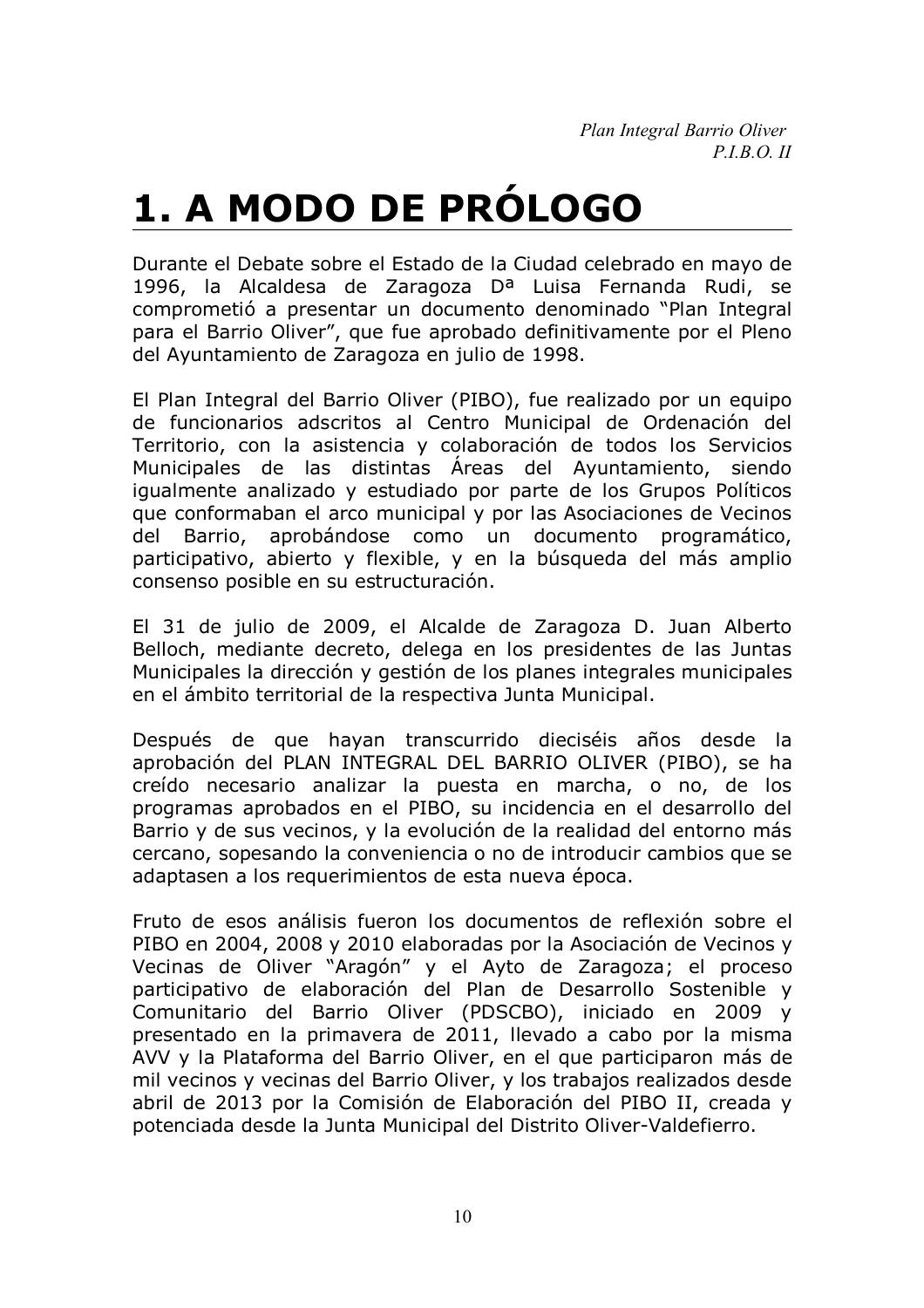Plan Integral Barrio Oliver  $P.I.B.O. II$ 

## 1. A MODO DE PRÓLOGO

Durante el Debate sobre el Estado de la Ciudad celebrado en mayo de 1996, la Alcaldesa de Zaragoza D<sup>a</sup> Luisa Fernanda Rudi, se comprometió a presentar un documento denominado "Plan Integral para el Barrio Oliver", que fue aprobado definitivamente por el Pleno del Ayuntamiento de Zaragoza en julio de 1998.

El Plan Integral del Barrio Oliver (PIBO), fue realizado por un equipo de funcionarios adscritos al Centro Municipal de Ordenación del Territorio, con la asistencia y colaboración de todos los Servicios Municipales de las distintas Áreas del Avuntamiento, siendo igualmente analizado y estudiado por parte de los Grupos Políticos que conformaban el arco municipal y por las Asociaciones de Vecinos del Barrio, aprobándose como un documento programático, participativo, abierto y flexible, y en la búsqueda del más amplio consenso posible en su estructuración.

El 31 de julio de 2009, el Alcalde de Zaragoza D. Juan Alberto Belloch, mediante decreto, delega en los presidentes de las Juntas Municipales la dirección y gestión de los planes integrales municipales en el ámbito territorial de la respectiva Junta Municipal.

Después de que hayan transcurrido dieciséis años desde la aprobación del PLAN INTEGRAL DEL BARRIO OLIVER (PIBO), se ha creído necesario analizar la puesta en marcha, o no, de los programas aprobados en el PIBO, su incidencia en el desarrollo del Barrio y de sus vecinos, y la evolución de la realidad del entorno más cercano, sopesando la conveniencia o no de introducir cambios que se adaptasen a los requerimientos de esta nueva época.

Fruto de esos análisis fueron los documentos de reflexión sobre el PIBO en 2004, 2008 y 2010 elaboradas por la Asociación de Vecinos y Vecinas de Oliver "Aragón" y el Ayto de Zaragoza; el proceso participativo de elaboración del Plan de Desarrollo Sostenible y Comunitario del Barrio Oliver (PDSCBO), iniciado en 2009 y presentado en la primavera de 2011, llevado a cabo por la misma AVV y la Plataforma del Barrio Oliver, en el que participaron más de mil vecinos y vecinas del Barrio Oliver, y los trabajos realizados desde abril de 2013 por la Comisión de Elaboración del PIBO II, creada y potenciada desde la Junta Municipal del Distrito Oliver-Valdefierro.